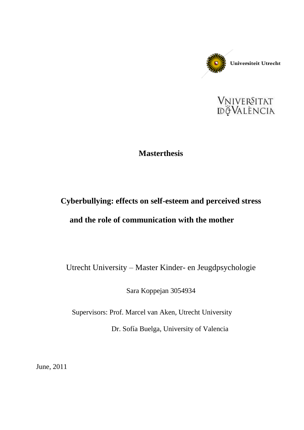



# **Masterthesis**

# **Cyberbullying: effects on self-esteem and perceived stress and the role of communication with the mother**

Utrecht University – Master Kinder- en Jeugdpsychologie

Sara Koppejan 3054934

Supervisors: Prof. Marcel van Aken, Utrecht University

Dr. Sofía Buelga, University of Valencia

June, 2011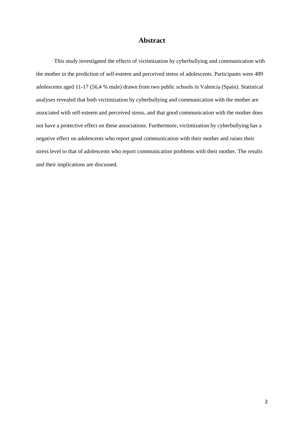# **Abstract**

This study investigated the effects of victimization by cyberbullying and communication with the mother in the prediction of self-esteem and perceived stress of adolescents. Participants were 489 adolescents aged 11-17 (56,4 % male) drawn from two public schools in Valencia (Spain). Statistical analyses revealed that both victimization by cyberbullying and communication with the mother are associated with self-esteem and perceived stress, and that good communication with the mother does not have a protective effect on these associations. Furthermore, victimization by cyberbullying has a negative effect on adolescents who report good communication with their mother and raises their stress level to that of adolescents who report communication problems with their mother. The results and their implications are discussed.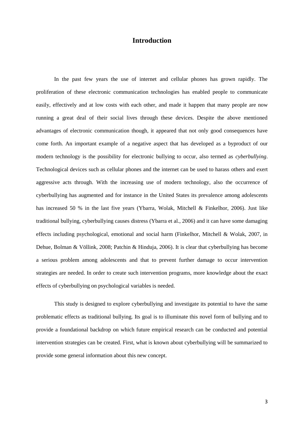# **Introduction**

In the past few years the use of internet and cellular phones has grown rapidly. The proliferation of these electronic communication technologies has enabled people to communicate easily, effectively and at low costs with each other, and made it happen that many people are now running a great deal of their social lives through these devices. Despite the above mentioned advantages of electronic communication though, it appeared that not only good consequences have come forth. An important example of a negative aspect that has developed as a byproduct of our modern technology is the possibility for electronic bullying to occur, also termed as *cyberbullying*. Technological devices such as cellular phones and the internet can be used to harass others and exert aggressive acts through. With the increasing use of modern technology, also the occurrence of cyberbullying has augmented and for instance in the United States its prevalence among adolescents has increased 50 % in the last five years (Ybarra, Wolak, Mitchell & Finkelhor, 2006). Just like traditional bullying, cyberbullying causes distress (Ybarra et al., 2006) and it can have some damaging effects including psychological, emotional and social harm (Finkelhor, Mitchell & Wolak, 2007, in Dehue, Bolman & Völlink, 2008; Patchin & Hinduja, 2006). It is clear that cyberbullying has become a serious problem among adolescents and that to prevent further damage to occur intervention strategies are needed. In order to create such intervention programs, more knowledge about the exact effects of cyberbullying on psychological variables is needed.

This study is designed to explore cyberbullying and investigate its potential to have the same problematic effects as traditional bullying. Its goal is to illuminate this novel form of bullying and to provide a foundational backdrop on which future empirical research can be conducted and potential intervention strategies can be created. First, what is known about cyberbullying will be summarized to provide some general information about this new concept.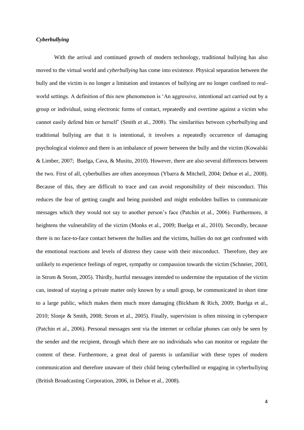# *Cyberbullying*

With the arrival and continued growth of modern technology, traditional bullying has also moved to the virtual world and *cyberbullying* has come into existence. Physical separation between the bully and the victim is no longer a limitation and instances of bullying are no longer confined to realworld settings. A definition of this new phenomenon is "An aggressive, intentional act carried out by a group or individual, using electronic forms of contact, repeatedly and overtime against a victim who cannot easily defend him or herself" (Smith et al., 2008). The similarities between cyberbullying and traditional bullying are that it is intentional, it involves a repeatedly occurrence of damaging psychological violence and there is an imbalance of power between the bully and the victim (Kowalski & Limber, 2007; Buelga, Cava, & Musitu, 2010). However, there are also several differences between the two. First of all, cyberbullies are often anonymous (Ybarra & Mitchell, 2004; Dehue et al., 2008). Because of this, they are difficult to trace and can avoid responsibility of their misconduct. This reduces the fear of getting caught and being punished and might embolden bullies to communicate messages which they would not say to another person"s face (Patchin et al., 2006). Furthermore, it heightens the vulnerability of the victim (Monks et al., 2009; Buelga et al., 2010). Secondly, because there is no face-to-face contact between the bullies and the victims, bullies do not get confronted with the emotional reactions and levels of distress they cause with their misconduct. Therefore, they are unlikely to experience feelings of regret, sympathy or compassion towards the victim (Schneier, 2003, in Strom & Strom, 2005). Thirdly, hurtful messages intended to undermine the reputation of the victim can, instead of staying a private matter only known by a small group, be communicated in short time to a large public, which makes them much more damaging (Bickham & Rich, 2009; Buelga et al., 2010; Slonje & Smith, 2008; Strom et al., 2005). Finally, supervision is often missing in cyberspace (Patchin et al., 2006). Personal messages sent via the internet or cellular phones can only be seen by the sender and the recipient, through which there are no individuals who can monitor or regulate the content of these. Furthermore, a great deal of parents is unfamiliar with these types of modern communication and therefore unaware of their child being cyberbullied or engaging in cyberbullying (British Broadcasting Corporation, 2006, in Dehue et al., 2008).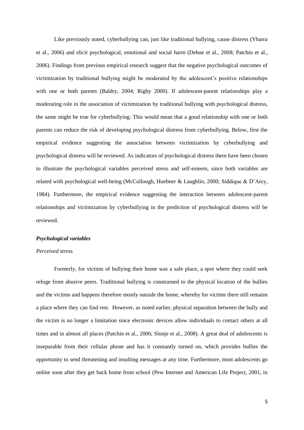Like previously noted, cyberbullying can, just like traditional bullying, cause distress (Ybarra et al., 2006) and elicit psychological, emotional and social harm (Dehue et al., 2008; Patchin et al., 2006). Findings from previous empirical research suggest that the negative psychological outcomes of victimization by traditional bullying might be moderated by the adolescent"s positive relationships with one or both parents (Baldry, 2004; Rigby 2000). If adolescent-parent relationships play a moderating role in the association of victimization by traditional bullying with psychological distress, the same might be true for cyberbullying. This would mean that a good relationship with one or both parents can reduce the risk of developing psychological distress from cyberbullying. Below, first the empirical evidence suggesting the association between victimization by cyberbullying and psychological distress will be reviewed. As indicators of psychological distress there have been chosen to illustrate the psychological variables perceived stress and self-esteem, since both variables are related with psychological well-being (McCullough, Huebner & Laughlin, 2000; Siddique & D"Arcy, 1984). Furthermore, the empirical evidence suggesting the interaction between adolescent-parent relationships and victimization by cyberbullying in the prediction of psychological distress will be reviewed.

# *Psychological variables*

#### *Perceived stress*

Formerly, for victims of bullying their home was a safe place, a spot where they could seek refuge from abusive peers. Traditional bullying is constrained to the physical location of the bullies and the victims and happens therefore mostly outside the home, whereby for victims there still remains a place where they can find rest. However, as noted earlier, physical separation between the bully and the victim is no longer a limitation since electronic devices allow individuals to contact others at all times and in almost all places (Patchin et al., 2006; Slonje et al., 2008). A great deal of adolescents is inseparable from their cellular phone and has it constantly turned on, which provides bullies the opportunity to send threatening and insulting messages at any time. Furthermore, most adolescents go online soon after they get back home from school (Pew Internet and American Life Project, 2001, in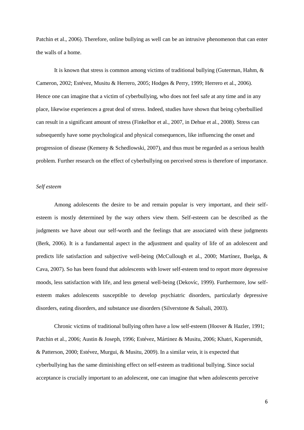Patchin et al., 2006). Therefore, online bullying as well can be an intrusive phenomenon that can enter the walls of a home.

It is known that stress is common among victims of traditional bullying (Guterman, Hahm, & Cameron, 2002; Estévez, Musitu & Herrero, 2005; Hodges & Perry, 1999; Herrero et al., 2006). Hence one can imagine that a victim of cyberbullying, who does not feel safe at any time and in any place, likewise experiences a great deal of stress. Indeed, studies have shown that being cyberbullied can result in a significant amount of stress (Finkelhor et al., 2007, in Dehue et al., 2008). Stress can subsequently have some psychological and physical consequences, like influencing the onset and progression of disease (Kemeny & Schedlowski, 2007), and thus must be regarded as a serious health problem. Further research on the effect of cyberbullying on perceived stress is therefore of importance.

## *Self esteem*

Among adolescents the desire to be and remain popular is very important, and their selfesteem is mostly determined by the way others view them. Self-esteem can be described as the judgments we have about our self-worth and the feelings that are associated with these judgments (Berk, 2006). It is a fundamental aspect in the adjustment and quality of life of an adolescent and predicts life satisfaction and subjective well-being (McCullough et al., 2000; Martínez, Buelga, & Cava, 2007). So has been found that adolescents with lower self-esteem tend to report more depressive moods, less satisfaction with life, and less general well-being (Dekovíc, 1999). Furthermore, low selfesteem makes adolescents susceptible to develop psychiatric disorders, particularly depressive disorders, eating disorders, and substance use disorders (Silverstone & Salsali, 2003).

Chronic victims of traditional bullying often have a low self-esteem (Hoover & Hazler, 1991; Patchin et al., 2006; Austin & Joseph, 1996; Estévez, Mártinez & Musitu, 2006; Khatri, Kupersmidt, & Patterson, 2000; Estévez, Murgui, & Musitu, 2009). In a similar vein, it is expected that cyberbullying has the same diminishing effect on self-esteem as traditional bullying. Since social acceptance is crucially important to an adolescent, one can imagine that when adolescents perceive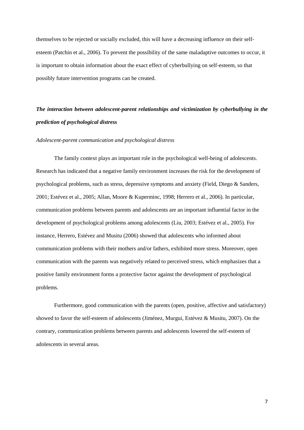themselves to be rejected or socially excluded, this will have a decreasing influence on their selfesteem (Patchin et al., 2006). To prevent the possibility of the same maladaptive outcomes to occur, it is important to obtain information about the exact effect of cyberbullying on self-esteem, so that possibly future intervention programs can be created.

# *The interaction between adolescent-parent relationships and victimization by cyberbullying in the prediction of psychological distress*

#### *Adolescent-parent communication and psychological distress*

The family context plays an important role in the psychological well-being of adolescents. Research has indicated that a negative family environment increases the risk for the development of psychological problems, such as stress, depressive symptoms and anxiety (Field, Diego & Sanders, 2001; Estévez et al., 2005; Allan, Moore & Kuperminc, 1998; Herrero et al., 2006). In particular, communication problems between parents and adolescents are an important influential factor in the development of psychological problems among adolescents (Liu, 2003; Estévez et al., 2005). For instance, Herrero, Estévez and Musitu (2006) showed that adolescents who informed about communication problems with their mothers and/or fathers, exhibited more stress. Moreover, open communication with the parents was negatively related to perceived stress, which emphasizes that a positive family environment forms a protective factor against the development of psychological problems.

Furthermore, good communication with the parents (open, positive, affective and satisfactory) showed to favor the self-esteem of adolescents (Jiménez, Murgui, Estévez & Musitu, 2007). On the contrary, communication problems between parents and adolescents lowered the self-esteem of adolescents in several areas.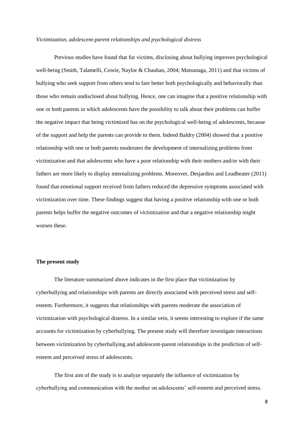#### *Victimization, adolescent-parent relationships and psychological distress*

Previous studies have found that for victims, disclosing about bullying improves psychological well-being (Smith, Talamelli, Cowie, Naylor & Chauhan, 2004; Matsunaga, 2011) and that victims of bullying who seek support from others tend to fare better both psychologically and behaviorally than those who remain undisclosed about bullying. Hence, one can imagine that a positive relationship with one or both parents in which adolescents have the possibility to talk about their problems can buffer the negative impact that being victimized has on the psychological well-being of adolescents, because of the support and help the parents can provide to them. Indeed Baldry (2004) showed that a positive relationship with one or both parents moderates the development of internalizing problems from victimization and that adolescents who have a poor relationship with their mothers and/or with their fathers are more likely to display internalizing problems. Moreover, Desjardins and Leadbeater (2011) found that emotional support received from fathers reduced the depressive symptoms associated with victimization over time. These findings suggest that having a positive relationship with one or both parents helps buffer the negative outcomes of victimization and that a negative relationship might worsen these.

#### **The present study**

The literature summarized above indicates in the first place that victimization by cyberbullying and relationships with parents are directly associated with perceived stress and selfesteem. Furthermore, it suggests that relationships with parents moderate the association of victimization with psychological distress. In a similar vein, it seems interesting to explore if the same accounts for victimization by cyberbullying. The present study will therefore investigate interactions between victimization by cyberbullying and adolescent-parent relationships in the prediction of selfesteem and perceived stress of adolescents.

The first aim of the study is to analyze separately the influence of victimization by cyberbullying and communication with the mother on adolescents' self-esteem and perceived stress.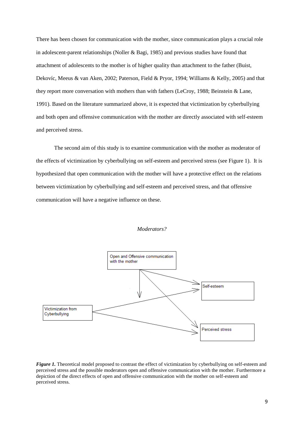There has been chosen for communication with the mother, since communication plays a crucial role in adolescent-parent relationships (Noller & Bagi, 1985) and previous studies have found that attachment of adolescents to the mother is of higher quality than attachment to the father (Buist, Dekovíc, Meeus & van Aken, 2002; Paterson, Field & Pryor, 1994; Williams & Kelly, 2005) and that they report more conversation with mothers than with fathers (LeCroy, 1988; Beinstein & Lane, 1991). Based on the literature summarized above, it is expected that victimization by cyberbullying and both open and offensive communication with the mother are directly associated with self-esteem and perceived stress.

The second aim of this study is to examine communication with the mother as moderator of the effects of victimization by cyberbullying on self-esteem and perceived stress (see Figure 1). It is hypothesized that open communication with the mother will have a protective effect on the relations between victimization by cyberbullying and self-esteem and perceived stress, and that offensive communication will have a negative influence on these.

#### *Moderators?*



*Figure 1.* Theoretical model proposed to contrast the effect of victimization by cyberbullying on self-esteem and perceived stress and the possible moderators open and offensive communication with the mother. Furthermore a depiction of the direct effects of open and offensive communication with the mother on self-esteem and perceived stress.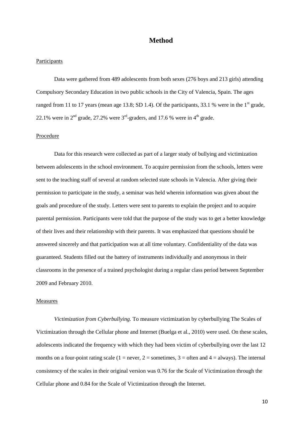# **Method**

# Participants

Data were gathered from 489 adolescents from both sexes (276 boys and 213 girls) attending Compulsory Secondary Education in two public schools in the City of Valencia, Spain. The ages ranged from 11 to 17 years (mean age 13.8; SD 1.4). Of the participants, 33.1 % were in the  $1<sup>st</sup>$  grade, 22.1% were in  $2<sup>nd</sup>$  grade, 27.2% were  $3<sup>rd</sup>$ -graders, and 17.6 % were in  $4<sup>th</sup>$  grade.

#### Procedure

Data for this research were collected as part of a larger study of bullying and victimization between adolescents in the school environment. To acquire permission from the schools, letters were sent to the teaching staff of several at random selected state schools in Valencia. After giving their permission to participate in the study, a seminar was held wherein information was given about the goals and procedure of the study. Letters were sent to parents to explain the project and to acquire parental permission. Participants were told that the purpose of the study was to get a better knowledge of their lives and their relationship with their parents. It was emphasized that questions should be answered sincerely and that participation was at all time voluntary. Confidentiality of the data was guaranteed. Students filled out the battery of instruments individually and anonymous in their classrooms in the presence of a trained psychologist during a regular class period between September 2009 and February 2010.

#### Measures

*Victimization from Cyberbullying.* To measure victimization by cyberbullying The Scales of Victimization through the Cellular phone and Internet (Buelga et al., 2010) were used. On these scales, adolescents indicated the frequency with which they had been victim of cyberbullying over the last 12 months on a four-point rating scale (1 = never, 2 = sometimes, 3 = often and 4 = always). The internal consistency of the scales in their original version was 0.76 for the Scale of Victimization through the Cellular phone and 0.84 for the Scale of Victimization through the Internet.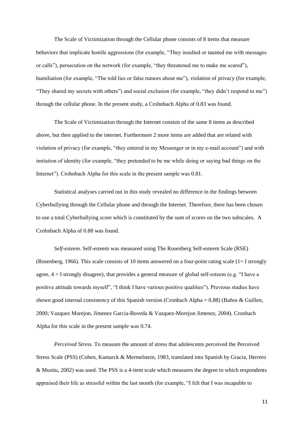The Scale of Victimization through the Cellular phone consists of 8 items that measure behaviors that implicate hostile aggressions (for example, "They insulted or taunted me with messages or calls"), persecution on the network (for example, "they threatened me to make me scared"), humiliation (for example, "The told lies or false rumors about me"), violation of privacy (for example, "They shared my secrets with others") and social exclusion (for example, "they didn"t respond to me") through the cellular phone. In the present study, a Crohnbach Alpha of 0.83 was found.

The Scale of Victimization through the Internet consists of the same 8 items as described above, but then applied to the internet. Furthermore 2 more items are added that are related with violation of privacy (for example, "they entered in my Messenger or in my e-mail account") and with imitation of identity (for example, "they pretended to be me while doing or saying bad things on the Internet"). Crohnbach Alpha for this scale in the present sample was 0.81.

Statistical analyses carried out in this study revealed no difference in the findings between Cyberbullying through the Cellular phone and through the Internet. Therefore, there has been chosen to use a total Cyberbullying score which is constituted by the sum of scores on the two subscales. A Crohnbach Alpha of 0.88 was found.

*Self-esteem.* Self-esteem was measured using The Rosenberg Self-esteem Scale (RSE) (Rosenberg, 1966). This scale consists of 10 items answered on a four-point rating scale (1= I strongly agree,  $4 = I$  strongly disagree), that provides a general measure of global self-esteem (e.g. "I have a positive attitude towards myself", "I think I have various positive qualities"). Previous studies have shown good internal consistency of this Spanish version (Cronbach Alpha = 0.88) (Baños & Guillen, 2000; Vazquez Morejon, Jimenez Garcia-Boveda & Vazquez-Morejon Jimenez, 2004). Cronbach Alpha for this scale in the present sample was 0.74.

*Perceived Stress.* To measure the amount of stress that adolescents perceived the Perceived Stress Scale (PSS) (Cohen, Kamarck & Mermelstein, 1983, translated into Spanish by Gracia, Herrero & Musitu, 2002) was used. The PSS is a 4-item scale which measures the degree to which respondents appraised their life as stressful within the last month (for example, "I felt that I was incapable to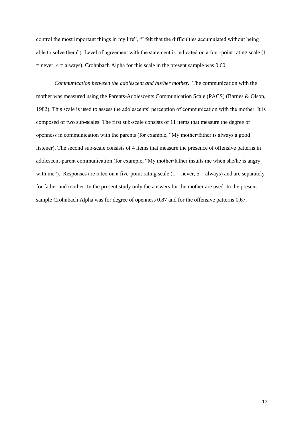control the most important things in my life", "I felt that the difficulties accumulated without being able to solve them"). Level of agreement with the statement is indicated on a four-point rating scale (1  $=$  never,  $4 =$  always). Crohnbach Alpha for this scale in the present sample was 0.60.

*Communication between the adolescent and his/her mother.* The communication with the mother was measured using the Parents-Adolescents Communication Scale (PACS) (Barnes & Olson, 1982). This scale is used to assess the adolescents' perception of communication with the mother. It is composed of two sub-scales. The first sub-scale consists of 11 items that measure the degree of openness in communication with the parents (for example, "My mother/father is always a good listener). The second sub-scale consists of 4 items that measure the presence of offensive patterns in adolescent-parent communication (for example, "My mother/father insults me when she/he is angry with me"). Responses are rated on a five-point rating scale  $(1 = never, 5 = always)$  and are separately for father and mother. In the present study only the answers for the mother are used. In the present sample Crohnbach Alpha was for degree of openness 0.87 and for the offensive patterns 0.67.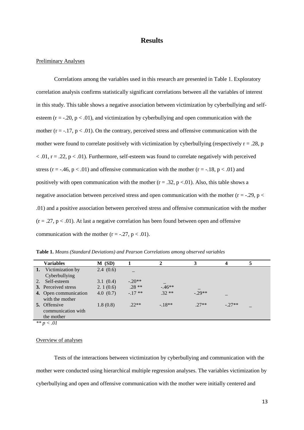# **Results**

## Preliminary Analyses

Correlations among the variables used in this research are presented in Table 1. Exploratory correlation analysis confirms statistically significant correlations between all the variables of interest in this study. This table shows a negative association between victimization by cyberbullying and selfesteem ( $r = -0.20$ ,  $p < 0.01$ ), and victimization by cyberbullying and open communication with the mother  $(r = -17, p < 0.01)$ . On the contrary, perceived stress and offensive communication with the mother were found to correlate positively with victimization by cyberbullying (respectively  $r = .28$ , p  $< .01$ ,  $r = .22$ ,  $p < .01$ ). Furthermore, self-esteem was found to correlate negatively with perceived stress ( $r = -0.46$ ,  $p < 0.01$ ) and offensive communication with the mother ( $r = -0.18$ ,  $p < 0.01$ ) and positively with open communication with the mother ( $r = .32$ ,  $p < .01$ ). Also, this table shows a negative association between perceived stress and open communication with the mother ( $r = -0.29$ ,  $p <$ .01) and a positive association between perceived stress and offensive communication with the mother  $(r = .27, p < .01)$ . At last a negative correlation has been found between open and offensive communication with the mother  $(r = -.27, p < .01)$ .

**Table 1.** *Means (Standard Deviations) and Pearson Correlations among observed variables*

|    | Variables                  | $M$ (SD)    |          |         |         |         |  |  |
|----|----------------------------|-------------|----------|---------|---------|---------|--|--|
| 1. | Victimization by           | 2.4(0.6)    |          |         |         |         |  |  |
|    | Cyberbullying              |             |          |         |         |         |  |  |
| 2. | Self-esteem                | 3.1(0.4)    | $-.20**$ |         |         |         |  |  |
|    | <b>3.</b> Perceived stress | 2.1(0.6)    | $.28**$  | $-46**$ |         |         |  |  |
|    | 4. Open communication      | 4.0 $(0.7)$ | $-17**$  | $.32**$ | $-29**$ |         |  |  |
|    | with the mother            |             |          |         |         |         |  |  |
|    | <b>5.</b> Offensive        | 1.8(0.8)    | $.22**$  | $-18**$ | $.27**$ | $-27**$ |  |  |
|    | communication with         |             |          |         |         |         |  |  |
|    | the mother                 |             |          |         |         |         |  |  |
|    | $44 - 201$                 |             |          |         |         |         |  |  |

*\*\* p < .01* 

# Overview of analyses

Tests of the interactions between victimization by cyberbullying and communication with the mother were conducted using hierarchical multiple regression analyses. The variables victimization by cyberbullying and open and offensive communication with the mother were initially centered and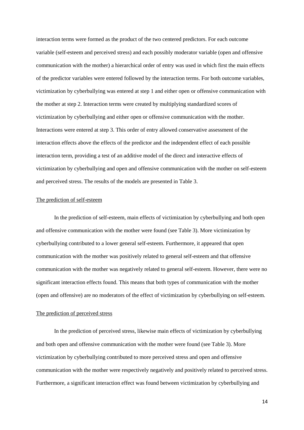interaction terms were formed as the product of the two centered predictors. For each outcome variable (self-esteem and perceived stress) and each possibly moderator variable (open and offensive communication with the mother) a hierarchical order of entry was used in which first the main effects of the predictor variables were entered followed by the interaction terms. For both outcome variables, victimization by cyberbullying was entered at step 1 and either open or offensive communication with the mother at step 2. Interaction terms were created by multiplying standardized scores of victimization by cyberbullying and either open or offensive communication with the mother. Interactions were entered at step 3. This order of entry allowed conservative assessment of the interaction effects above the effects of the predictor and the independent effect of each possible interaction term, providing a test of an additive model of the direct and interactive effects of victimization by cyberbullying and open and offensive communication with the mother on self-esteem and perceived stress. The results of the models are presented in Table 3.

# The prediction of self-esteem

In the prediction of self-esteem, main effects of victimization by cyberbullying and both open and offensive communication with the mother were found (see Table 3). More victimization by cyberbullying contributed to a lower general self-esteem. Furthermore, it appeared that open communication with the mother was positively related to general self-esteem and that offensive communication with the mother was negatively related to general self-esteem. However, there were no significant interaction effects found. This means that both types of communication with the mother (open and offensive) are no moderators of the effect of victimization by cyberbullying on self-esteem.

## The prediction of perceived stress

In the prediction of perceived stress, likewise main effects of victimization by cyberbullying and both open and offensive communication with the mother were found (see Table 3). More victimization by cyberbullying contributed to more perceived stress and open and offensive communication with the mother were respectively negatively and positively related to perceived stress. Furthermore, a significant interaction effect was found between victimization by cyberbullying and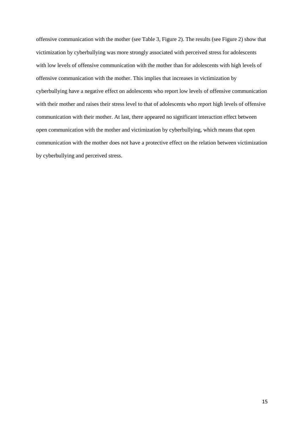offensive communication with the mother (see Table 3, Figure 2). The results (see Figure 2) show that victimization by cyberbullying was more strongly associated with perceived stress for adolescents with low levels of offensive communication with the mother than for adolescents with high levels of offensive communication with the mother. This implies that increases in victimization by cyberbullying have a negative effect on adolescents who report low levels of offensive communication with their mother and raises their stress level to that of adolescents who report high levels of offensive communication with their mother. At last, there appeared no significant interaction effect between open communication with the mother and victimization by cyberbullying, which means that open communication with the mother does not have a protective effect on the relation between victimization by cyberbullying and perceived stress.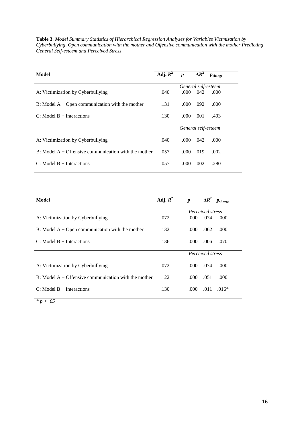| Model                                                  | Adj. $R^2$          | $\boldsymbol{p}$    | $\Delta R^2$ | $p_{\text{change}}$ |  |  |
|--------------------------------------------------------|---------------------|---------------------|--------------|---------------------|--|--|
|                                                        | General self-esteem |                     |              |                     |  |  |
| A: Victimization by Cyberbullying                      | .040                | $.000 -$            | .042         | .000                |  |  |
| B: Model $A +$ Open communication with the mother      | .131                | .000.               | .092         | .000                |  |  |
| $C:$ Model B + Interactions                            | .130                | .000.               | .001         | .493                |  |  |
|                                                        |                     | General self-esteem |              |                     |  |  |
| A: Victimization by Cyberbullying                      | .040                | .000.               | .042         | .000                |  |  |
| B: Model $A +$ Offensive communication with the mother | .057                | .000.               | .019         | .002                |  |  |
| $C:$ Model B + Interactions                            | .057                | .000.               | .002         | .280                |  |  |

**Table 3**. *Model Summary Statistics of Hierarchical Regression Analyses for Variables Victmization by Cyberbullying, Open communication with the mother and Offensive communication with the mother Predicting General Self-esteem and Perceived Stress* 

| <b>Model</b>                                           | Adj. $R^2$ | $\boldsymbol{p}$ | $\Delta R^2$     | $p_{\text{change}}$ |  |
|--------------------------------------------------------|------------|------------------|------------------|---------------------|--|
|                                                        |            | Perceived stress |                  |                     |  |
| A: Victimization by Cyberbullying                      | .072       | .000             | .074             | .000                |  |
| B: Model $A +$ Open communication with the mother      | .132       | .000             | .062             | .000                |  |
| $C: Model B + Interactions$                            | .136       | .000             | .006             | .070                |  |
|                                                        |            |                  | Perceived stress |                     |  |
| A: Victimization by Cyberbullying                      | .072       | .000             | .074             | .000                |  |
| $B:$ Model A + Offensive communication with the mother | .122       | .000             | .051             | .000                |  |
| $C: Model B + Interactions$                            | .130       | .000             | .011             | $.016*$             |  |
| 4.20                                                   |            |                  |                  |                     |  |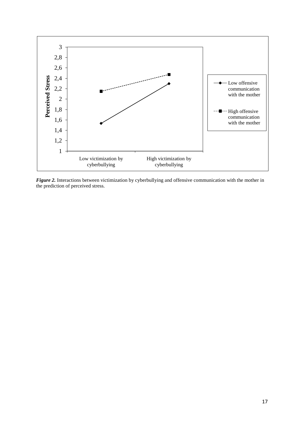

*Figure 2.* Interactions between victimization by cyberbullying and offensive communication with the mother in the prediction of perceived stress.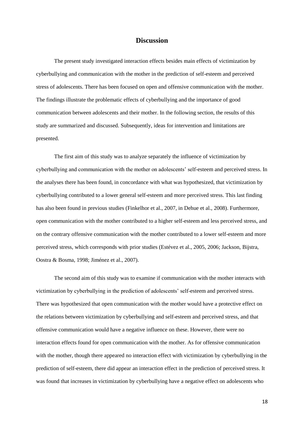# **Discussion**

The present study investigated interaction effects besides main effects of victimization by cyberbullying and communication with the mother in the prediction of self-esteem and perceived stress of adolescents. There has been focused on open and offensive communication with the mother. The findings illustrate the problematic effects of cyberbullying and the importance of good communication between adolescents and their mother. In the following section, the results of this study are summarized and discussed. Subsequently, ideas for intervention and limitations are presented.

The first aim of this study was to analyze separately the influence of victimization by cyberbullying and communication with the mother on adolescents" self-esteem and perceived stress. In the analyses there has been found, in concordance with what was hypothesized, that victimization by cyberbullying contributed to a lower general self-esteem and more perceived stress. This last finding has also been found in previous studies (Finkelhor et al., 2007, in Dehue et al., 2008). Furthermore, open communication with the mother contributed to a higher self-esteem and less perceived stress, and on the contrary offensive communication with the mother contributed to a lower self-esteem and more perceived stress, which corresponds with prior studies (Estévez et al., 2005, 2006; Jackson, Bijstra, Oostra & Bosma, 1998; Jiménez et al., 2007).

The second aim of this study was to examine if communication with the mother interacts with victimization by cyberbullying in the prediction of adolescents" self-esteem and perceived stress. There was hypothesized that open communication with the mother would have a protective effect on the relations between victimization by cyberbullying and self-esteem and perceived stress, and that offensive communication would have a negative influence on these. However, there were no interaction effects found for open communication with the mother. As for offensive communication with the mother, though there appeared no interaction effect with victimization by cyberbullying in the prediction of self-esteem, there did appear an interaction effect in the prediction of perceived stress. It was found that increases in victimization by cyberbullying have a negative effect on adolescents who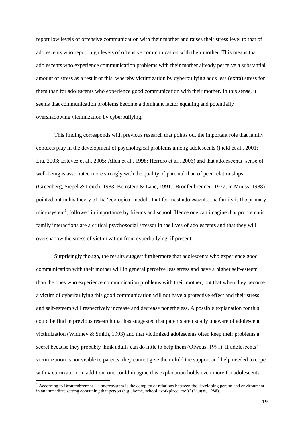report low levels of offensive communication with their mother and raises their stress level to that of adolescents who report high levels of offensive communication with their mother. This means that adolescents who experience communication problems with their mother already perceive a substantial amount of stress as a result of this, whereby victimization by cyberbullying adds less (extra) stress for them than for adolescents who experience good communication with their mother. In this sense, it seems that communication problems become a dominant factor equaling and potentially overshadowing victimization by cyberbullying.

This finding corresponds with previous research that points out the important role that family contexts play in the development of psychological problems among adolescents (Field et al., 2001; Liu, 2003; Estévez et al., 2005; Allen et al., 1998; Herrero et al., 2006) and that adolescents" sense of well-being is associated more strongly with the quality of parental than of peer relationships (Greenberg, Siegel & Leitch, 1983; Beinstein & Lane, 1991). Bronfenbrenner (1977, in Muuss, 1988) pointed out in his theory of the "ecological model", that for most adolescents, the family is the primary microsystem<sup>1</sup>, followed in importance by friends and school. Hence one can imagine that problematic family interactions are a critical psychosocial stressor in the lives of adolescents and that they will overshadow the stress of victimization from cyberbullying, if present.

Surprisingly though, the results suggest furthermore that adolescents who experience good communication with their mother will in general perceive less stress and have a higher self-esteem than the ones who experience communication problems with their mother, but that when they become a victim of cyberbullying this good communication will not have a protective effect and their stress and self-esteem will respectively increase and decrease nonetheless. A possible explanation for this could be find in previous research that has suggested that parents are usually unaware of adolescent victimization (Whitney & Smith, 1993) and that victimized adolescents often keep their problems a secret because they probably think adults can do little to help them (Olweus, 1991). If adolescents' victimization is not visible to parents, they cannot give their child the support and help needed to cope with victimization. In addition, one could imagine this explanation holds even more for adolescents

 $<sup>1</sup>$  According to Bronfenbrenner, "a microsystem is the complex of relations between the developing person and environment</sup> in an immediate setting containing that person (e.g., home, school, workplace, etc.)" (Muuss, 1988).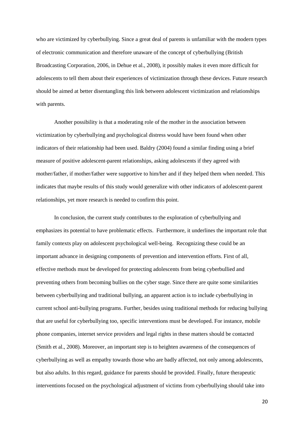who are victimized by cyberbullying. Since a great deal of parents is unfamiliar with the modern types of electronic communication and therefore unaware of the concept of cyberbullying (British Broadcasting Corporation, 2006, in Dehue et al., 2008), it possibly makes it even more difficult for adolescents to tell them about their experiences of victimization through these devices. Future research should be aimed at better disentangling this link between adolescent victimization and relationships with parents.

Another possibility is that a moderating role of the mother in the association between victimization by cyberbullying and psychological distress would have been found when other indicators of their relationship had been used. Baldry (2004) found a similar finding using a brief measure of positive adolescent-parent relationships, asking adolescents if they agreed with mother/father, if mother/father were supportive to him/her and if they helped them when needed. This indicates that maybe results of this study would generalize with other indicators of adolescent-parent relationships, yet more research is needed to confirm this point.

In conclusion, the current study contributes to the exploration of cyberbullying and emphasizes its potential to have problematic effects. Furthermore, it underlines the important role that family contexts play on adolescent psychological well-being. Recognizing these could be an important advance in designing components of prevention and intervention efforts. First of all, effective methods must be developed for protecting adolescents from being cyberbullied and preventing others from becoming bullies on the cyber stage. Since there are quite some similarities between cyberbullying and traditional bullying, an apparent action is to include cyberbullying in current school anti-bullying programs. Further, besides using traditional methods for reducing bullying that are useful for cyberbullying too, specific interventions must be developed. For instance, mobile phone companies, internet service providers and legal rights in these matters should be contacted (Smith et al., 2008). Moreover, an important step is to heighten awareness of the consequences of cyberbullying as well as empathy towards those who are badly affected, not only among adolescents, but also adults. In this regard, guidance for parents should be provided. Finally, future therapeutic interventions focused on the psychological adjustment of victims from cyberbullying should take into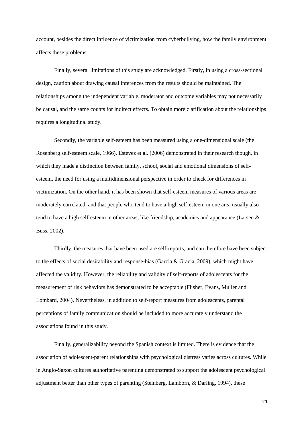account, besides the direct influence of victimization from cyberbullying, how the family environment affects these problems.

Finally, several limitations of this study are acknowledged. Firstly, in using a cross-sectional design, caution about drawing causal inferences from the results should be maintained. The relationships among the independent variable, moderator and outcome variables may not necessarily be causal, and the same counts for indirect effects. To obtain more clarification about the relationships requires a longitudinal study.

Secondly, the variable self-esteem has been measured using a one-dimensional scale (the Rosenberg self-esteem scale, 1966). Estévez et al. (2006) demonstrated in their research though, in which they made a distinction between family, school, social and emotional dimensions of selfesteem, the need for using a multidimensional perspective in order to check for differences in victimization. On the other hand, it has been shown that self-esteem measures of various areas are moderately correlated, and that people who tend to have a high self-esteem in one area usually also tend to have a high self-esteem in other areas, like friendship, academics and appearance (Larsen & Buss, 2002).

Thirdly, the measures that have been used are self-reports, and can therefore have been subject to the effects of social desirability and response-bias (Garcia & Gracia, 2009), which might have affected the validity. However, the reliability and validity of self-reports of adolescents for the measurement of risk behaviors has demonstrated to be acceptable (Flisher, Evans, Muller and Lombard, 2004). Nevertheless, in addition to self-report measures from adolescents, parental perceptions of family communication should be included to more accurately understand the associations found in this study.

Finally, generalizability beyond the Spanish context is limited. There is evidence that the association of adolescent-parent relationships with psychological distress varies across cultures. While in Anglo-Saxon cultures authoritative parenting demonstrated to support the adolescent psychological adjustment better than other types of parenting (Steinberg, Lamborn, & Darling, 1994), these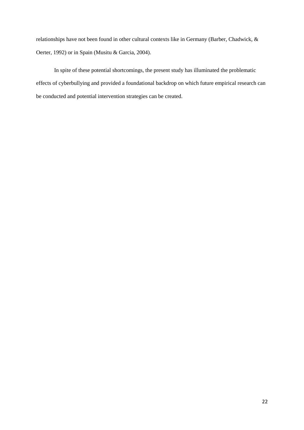relationships have not been found in other cultural contexts like in Germany (Barber, Chadwick, & Oerter, 1992) or in Spain (Musitu & Garcia, 2004).

In spite of these potential shortcomings, the present study has illuminated the problematic effects of cyberbullying and provided a foundational backdrop on which future empirical research can be conducted and potential intervention strategies can be created.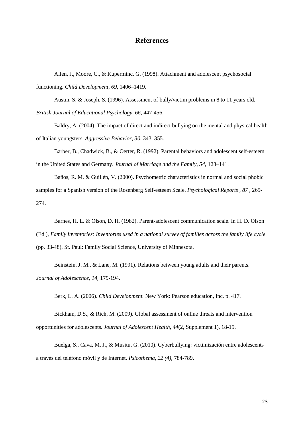# **References**

Allen, J., Moore, C., & Kuperminc, G. (1998). Attachment and adolescent psychosocial functioning. *Child Development, 69,* 1406–1419.

Austin, S. & Joseph, S. (1996). Assessment of bully/victim problems in 8 to 11 years old. *British Journal of Educational Psychology, 66,* 447-456.

Baldry, A. (2004). The impact of direct and indirect bullying on the mental and physical health of Italian youngsters. *Aggressive Behavior, 30,* 343–355.

Barber, B., Chadwick, B., & Oerter, R. (1992). Parental behaviors and adolescent self-esteem in the United States and Germany. *Journal of Marriage and the Family, 54,* 128–141.

Baños, R. M. & Guillén, V. (2000). Psychometric characteristics in normal and social phobic samples for a Spanish version of the Rosenberg Self-esteem Scale. *Psychological Reports , 87 ,* 269- 274.

Barnes, H. L. & Olson, D. H. (1982). Parent-adolescent communication scale. In H. D. Olson (Ed.), *Family inventories: Inventories used in a national survey of families across the family life cycle* (pp. 33-48). St. Paul: Family Social Science, University of Minnesota.

Beinstein, J. M., & Lane, M. (1991). Relations between young adults and their parents. *Journal of Adolescence, 14,* 179-194.

Berk, L. A. (2006). *Child Development.* New York: Pearson education, Inc. p. 417.

Bickham, D.S., & Rich, M. (2009). Global assessment of online threats and intervention opportunities for adolescents. *Journal of Adolescent Health, 44*(2, Supplement 1), 18-19.

Buelga, S., Cava, M. J., & Musitu, G. (2010). Cyberbullying: victimización entre adolescents a través del teléfono móvil y de Internet. *Psicothema, 22 (4),* 784-789.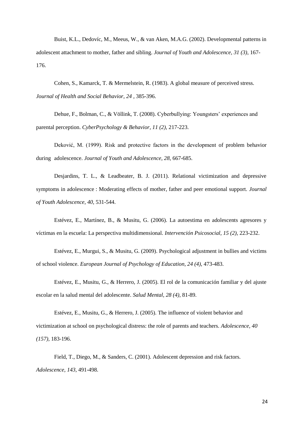Buist, K.L., Dedovíc, M., Meeus, W., & van Aken, M.A.G. (2002). Developmental patterns in adolescent attachment to mother, father and sibling. *Journal of Youth and Adolescence, 31 (3)*, 167- 176.

Cohen, S., Kamarck, T. & Mermelstein, R. (1983). A global measure of perceived stress. *Journal of Health and Social Behavior, 24 ,* 385-396.

Dehue, F., Bolman, C., & Völlink, T. (2008). Cyberbullying: Youngsters' experiences and parental perception. *CyberPsychology & Behavior, 11 (2),* 217-223.

Deković, M. (1999). Risk and protective factors in the development of problem behavior during adolescence. *Journal of Youth and Adolescence, 28,* 667-685.

Desjardins, T. L., & Leadbeater, B. J. (2011). Relational victimization and depressive symptoms in adolescence : Moderating effects of mother, father and peer emotional support. *Journal of Youth Adolescence, 40,* 531-544.

Estévez, E., Martínez, B., & Musitu, G. (2006). La autoestima en adolescents agresores y víctimas en la escuela: La perspectiva multidimensional. *Intervención Psicosocial, 15 (2),* 223-232.

Estévez, E., Murgui, S., & Musitu, G. (2009). Psychological adjustment in bullies and victims of school violence. *European Journal of Psychology of Education, 24 (4),* 473-483.

Estévez, E., Musitu, G., & Herrero, J. (2005). El rol de la comunicación familiar y del ajuste escolar en la salud mental del adolescente. *Salud Mental, 28 (4),* 81-89.

Estévez, E., Musitu, G., & Herrero, J. (2005). The influence of violent behavior and victimization at school on psychological distress: the role of parents and teachers. *Adolescence, 40 (157),* 183-196.

Field, T., Diego, M., & Sanders, C. (2001). Adolescent depression and risk factors. *Adolescence, 143,* 491-498.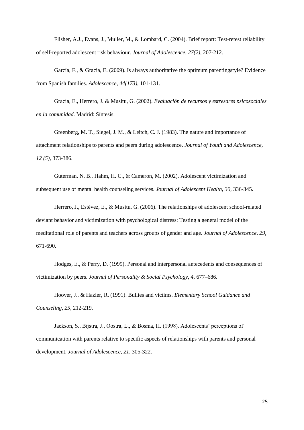Flisher, A.J., Evans, J., Muller, M., & Lombard, C. (2004). Brief report: Test-retest reliability of self-reported adolescent risk behaviour. *Journal of Adolescence, 27(2),* 207-212.

García, F., & Gracia, E. (2009). Is always authoritative the optimum parentingstyle? Evidence from Spanish families. *Adolescence, 44(173),* 101-131.

Gracia, E., Herrero, J. & Musitu, G. (2002). *Evaluación de recursos y estresares psicosociales en la comunidad.* Madrid: Síntesis.

Greenberg, M. T., Siegel, J. M., & Leitch, C. J. (1983). The nature and importance of attachment relationships to parents and peers during adolescence. *Journal of Youth and Adolescence, 12 (5),* 373-386.

Guterman, N. B., Hahm, H. C., & Cameron, M. (2002). Adolescent victimization and subsequent use of mental health counseling services. *Journal of Adolescent Health, 30,* 336-345.

Herrero, J., Estévez, E., & Musitu, G. (2006). The relationships of adolescent school-related deviant behavior and victimization with psychological distress: Testing a general model of the meditational role of parents and teachers across groups of gender and age. *Journal of Adolescence, 29,*  671-690.

Hodges, E., & Perry, D. (1999). Personal and interpersonal antecedents and consequences of victimization by peers. *Journal of Personality & Social Psychology, 4,* 677–686.

Hoover, J., & Hazler, R. (1991). Bullies and victims. *Elementary School Guidance and Counseling*, *25*, 212-219.

Jackson, S., Bijstra, J., Oostra, L., & Bosma, H. (1998). Adolescents' perceptions of communication with parents relative to specific aspects of relationships with parents and personal development. *Journal of Adolescence, 21,* 305-322.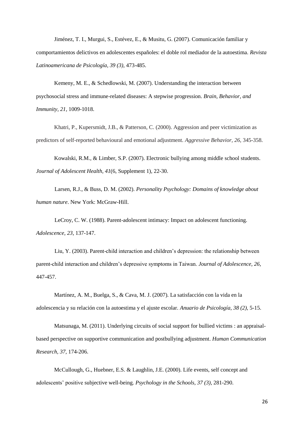Jiménez, T. I., Murgui, S., Estévez, E., & Musitu, G. (2007). Comunicación familiar y comportamientos delictivos en adolescentes españoles: el doble rol mediador de la autoestima. *Revista Latinoamericana de Psicología, 39 (3),* 473-485.

Kemeny, M. E., & Schedlowski, M. (2007). Understanding the interaction between psychosocial stress and immune-related diseases: A stepwise progression. *Brain, Behavior, and Immunity, 21,* 1009-1018.

Khatri, P., Kupersmidt, J.B., & Patterson, C. (2000). Aggression and peer victimization as predictors of self-reported behavioural and emotional adjustment. *Aggressive Behavior, 26,* 345-358.

Kowalski, R.M., & Limber, S.P. (2007). Electronic bullying among middle school students. *Journal of Adolescent Health, 41*(6, Supplement 1), 22-30.

Larsen, R.J., & Buss, D. M. (2002). *Personality Psychology: Domains of knowledge about human nature*. New York: McGraw-Hill.

LeCroy, C. W. (1988). Parent-adolescent intimacy: Impact on adolescent functioning. *Adolescence, 23,* 137-147.

Liu, Y. (2003). Parent-child interaction and children"s depression: the relationship between parent-child interaction and children"s depressive symptoms in Taiwan. *Journal of Adolescence, 26,*  447-457.

Martínez, A. M., Buelga, S., & Cava, M. J. (2007). La satisfacción con la vida en la adolescencia y su relación con la autoestima y el ajuste escolar. *Anuario de Psicología, 38 (2),* 5-15.

Matsunaga, M. (2011). Underlying circuits of social support for bullied victims : an appraisalbased perspective on supportive communication and postbullying adjustment. *Human Communication Research, 37,* 174-206.

McCullough, G., Huebner, E.S. & Laughlin, J.E. (2000). Life events, self concept and adolescents" positive subjective well-being. *Psychology in the Schools*, *37 (3),* 281-290.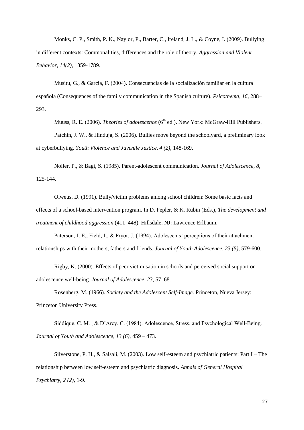Monks, C. P., Smith, P. K., Naylor, P., Barter, C., Ireland, J. L., & Coyne, I. (2009). Bullying in different contexts: Commonalities, differences and the role of theory. *Aggression and Violent Behavior, 14(2),* 1359-1789.

Musitu, G., & García, F. (2004). Consecuencias de la socialización familiar en la cultura española (Consequences of the family communication in the Spanish culture). *Psicothema, 16,* 288– 293.

Muuss, R. E. (2006). *Theories of adolescence* (6<sup>th</sup> ed.). New York: McGraw-Hill Publishers. Patchin, J. W., & Hinduja, S. (2006). Bullies move beyond the schoolyard, a preliminary look at cyberbullying. *Youth Violence and Juvenile Justice, 4 (2),* 148-169.

Noller, P., & Bagi, S. (1985). Parent-adolescent communication. *Journal of Adolescence, 8,*  125-144.

Olweus, D. (1991). Bully/victim problems among school children: Some basic facts and effects of a school-based intervention program. In D. Pepler, & K. Rubin (Eds.), *The development and treatment of childhood aggression* (411–448). Hillsdale, NJ: Lawrence Erlbaum.

Paterson, J. E., Field, J., & Pryor, J. (1994). Adolescents' perceptions of their attachment relationships with their mothers, fathers and friends. *Journal of Youth Adolescence, 23 (5),* 579-600.

Rigby, K. (2000). Effects of peer victimisation in schools and perceived social support on adolescence well-being. *Journal of Adolescence, 23,* 57–68.

Rosenberg, M. (1966). *Society and the Adolescent Self-Image.* Princeton, Nueva Jersey: Princeton University Press.

Siddique, C. M. , & D"Arcy, C. (1984). Adolescence, Stress, and Psychological Well-Being. *Journal of Youth and Adolescence, 13 (6),* 459 – 473.

Silverstone, P. H., & Salsali, M. (2003). Low self-esteem and psychiatric patients: Part I – The relationship between low self-esteem and psychiatric diagnosis. *Annals of General Hospital Psychiatry, 2 (2),* 1-9.